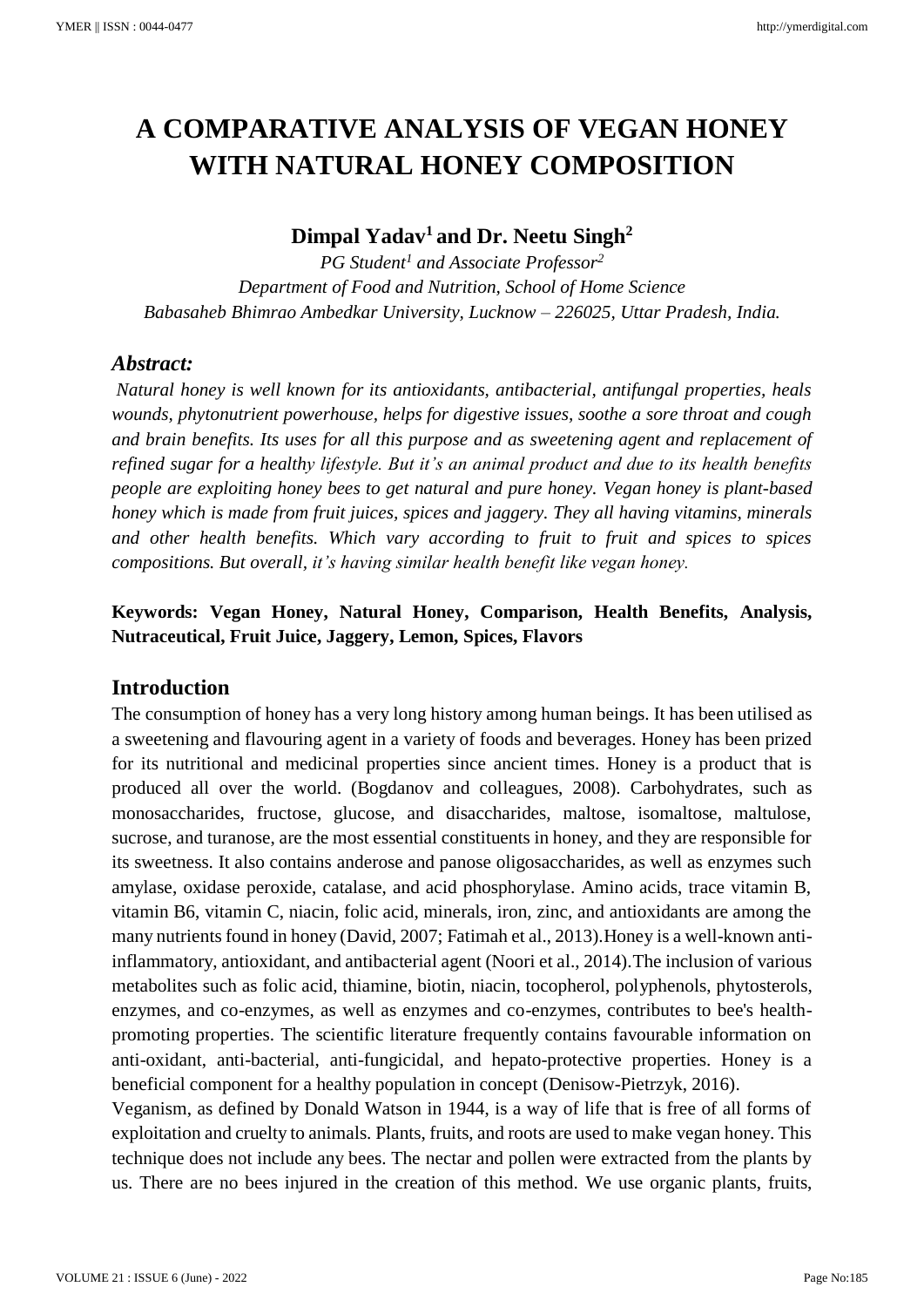# **A COMPARATIVE ANALYSIS OF VEGAN HONEY WITH NATURAL HONEY COMPOSITION**

# **Dimpal Yadav<sup>1</sup>and Dr. Neetu Singh<sup>2</sup>**

*PG Student<sup>1</sup> and Associate Professor<sup>2</sup> Department of Food and Nutrition, School of Home Science Babasaheb Bhimrao Ambedkar University, Lucknow – 226025, Uttar Pradesh, India.*

#### *Abstract:*

*Natural honey is well known for its antioxidants, antibacterial, antifungal properties, heals wounds, phytonutrient powerhouse, helps for digestive issues, soothe a sore throat and cough and brain benefits. Its uses for all this purpose and as sweetening agent and replacement of refined sugar for a healthy lifestyle. But it's an animal product and due to its health benefits people are exploiting honey bees to get natural and pure honey. Vegan honey is plant-based honey which is made from fruit juices, spices and jaggery. They all having vitamins, minerals and other health benefits. Which vary according to fruit to fruit and spices to spices compositions. But overall, it's having similar health benefit like vegan honey.*

# **Keywords: Vegan Honey, Natural Honey, Comparison, Health Benefits, Analysis, Nutraceutical, Fruit Juice, Jaggery, Lemon, Spices, Flavors**

## **Introduction**

The consumption of honey has a very long history among human beings. It has been utilised as a sweetening and flavouring agent in a variety of foods and beverages. Honey has been prized for its nutritional and medicinal properties since ancient times. Honey is a product that is produced all over the world. (Bogdanov and colleagues, 2008). Carbohydrates, such as monosaccharides, fructose, glucose, and disaccharides, maltose, isomaltose, maltulose, sucrose, and turanose, are the most essential constituents in honey, and they are responsible for its sweetness. It also contains anderose and panose oligosaccharides, as well as enzymes such amylase, oxidase peroxide, catalase, and acid phosphorylase. Amino acids, trace vitamin B, vitamin B6, vitamin C, niacin, folic acid, minerals, iron, zinc, and antioxidants are among the many nutrients found in honey (David, 2007; Fatimah et al., 2013).Honey is a well-known antiinflammatory, antioxidant, and antibacterial agent (Noori et al., 2014).The inclusion of various metabolites such as folic acid, thiamine, biotin, niacin, tocopherol, polyphenols, phytosterols, enzymes, and co-enzymes, as well as enzymes and co-enzymes, contributes to bee's healthpromoting properties. The scientific literature frequently contains favourable information on anti-oxidant, anti-bacterial, anti-fungicidal, and hepato-protective properties. Honey is a beneficial component for a healthy population in concept (Denisow-Pietrzyk, 2016).

Veganism, as defined by Donald Watson in 1944, is a way of life that is free of all forms of exploitation and cruelty to animals. Plants, fruits, and roots are used to make vegan honey. This technique does not include any bees. The nectar and pollen were extracted from the plants by us. There are no bees injured in the creation of this method. We use organic plants, fruits,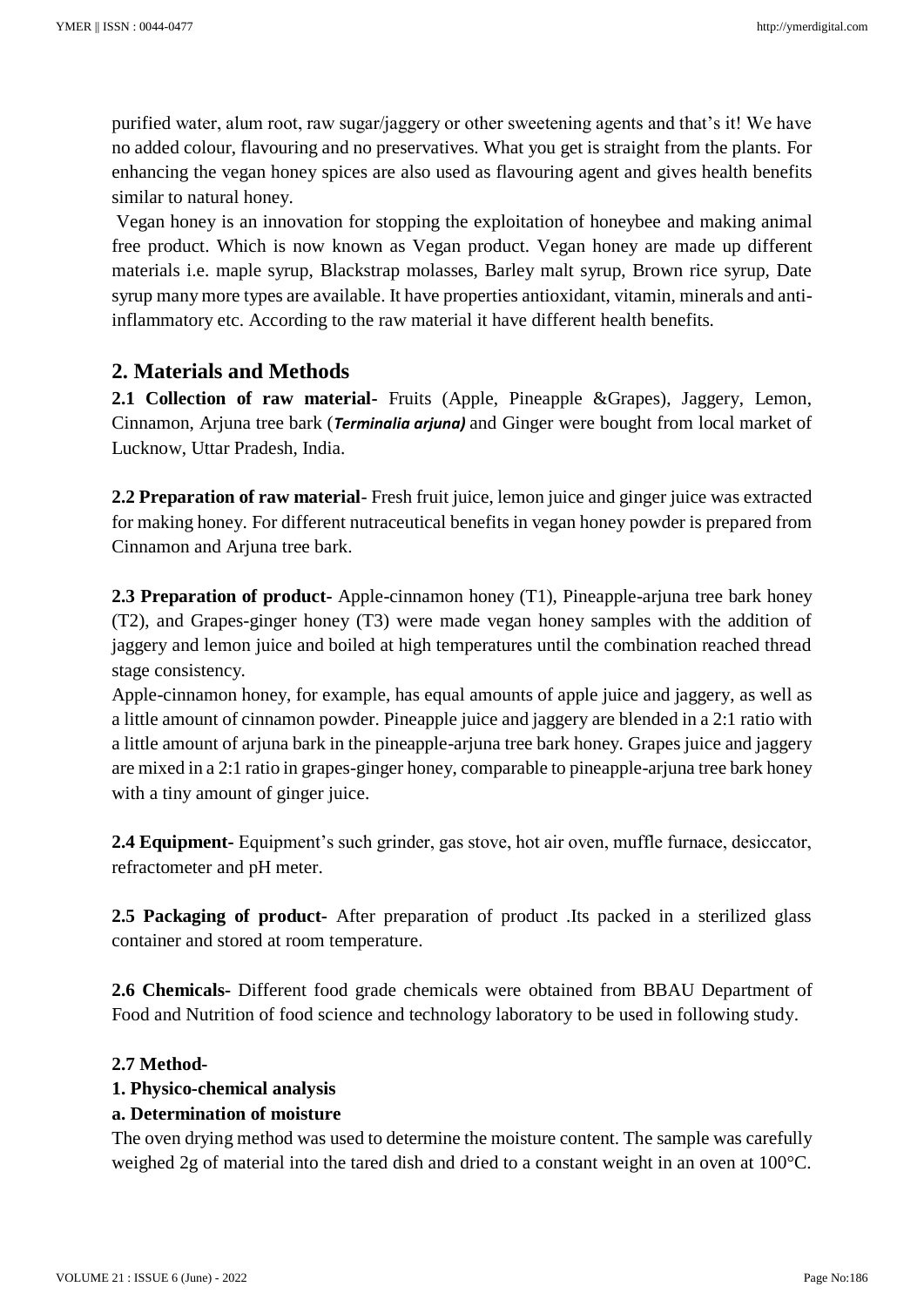purified water, alum root, raw sugar/jaggery or other sweetening agents and that's it! We have no added colour, flavouring and no preservatives. What you get is straight from the plants. For enhancing the vegan honey spices are also used as flavouring agent and gives health benefits similar to natural honey.

Vegan honey is an innovation for stopping the exploitation of honeybee and making animal free product. Which is now known as Vegan product. Vegan honey are made up different materials i.e. maple syrup, Blackstrap molasses, Barley malt syrup, Brown rice syrup, Date syrup many more types are available. It have properties antioxidant, vitamin, minerals and antiinflammatory etc. According to the raw material it have different health benefits.

### **2. Materials and Methods**

**2.1 Collection of raw material-** Fruits (Apple, Pineapple &Grapes), Jaggery, Lemon, Cinnamon, Arjuna tree bark (*Terminalia arjuna)* and Ginger were bought from local market of Lucknow, Uttar Pradesh, India.

**2.2 Preparation of raw material**- Fresh fruit juice, lemon juice and ginger juice was extracted for making honey. For different nutraceutical benefits in vegan honey powder is prepared from Cinnamon and Arjuna tree bark.

**2.3 Preparation of product-** Apple-cinnamon honey (T1), Pineapple-arjuna tree bark honey (T2), and Grapes-ginger honey (T3) were made vegan honey samples with the addition of jaggery and lemon juice and boiled at high temperatures until the combination reached thread stage consistency.

Apple-cinnamon honey, for example, has equal amounts of apple juice and jaggery, as well as a little amount of cinnamon powder. Pineapple juice and jaggery are blended in a 2:1 ratio with a little amount of arjuna bark in the pineapple-arjuna tree bark honey. Grapes juice and jaggery are mixed in a 2:1 ratio in grapes-ginger honey, comparable to pineapple-arjuna tree bark honey with a tiny amount of ginger juice.

**2.4 Equipment-** Equipment's such grinder, gas stove, hot air oven, muffle furnace, desiccator, refractometer and pH meter.

**2.5 Packaging of product-** After preparation of product .Its packed in a sterilized glass container and stored at room temperature.

**2.6 Chemicals-** Different food grade chemicals were obtained from BBAU Department of Food and Nutrition of food science and technology laboratory to be used in following study.

#### **2.7 Method-**

#### **1. Physico-chemical analysis**

#### **a. Determination of moisture**

The oven drying method was used to determine the moisture content. The sample was carefully weighed 2g of material into the tared dish and dried to a constant weight in an oven at 100°C.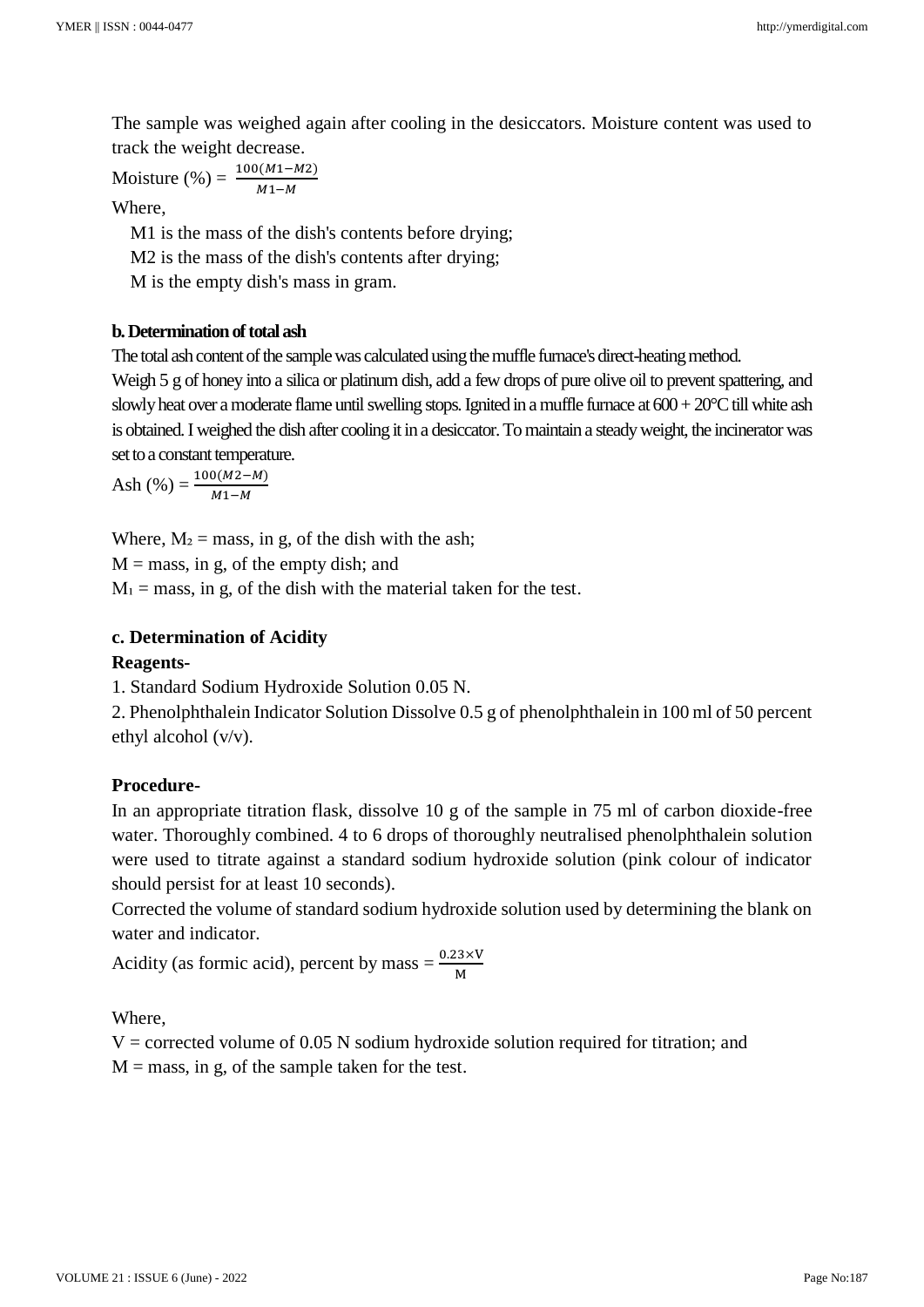The sample was weighed again after cooling in the desiccators. Moisture content was used to track the weight decrease.

Moisture (%) = 
$$
\frac{100(M1 - M2)}{M1 - M}
$$

Where,

M1 is the mass of the dish's contents before drying;

M<sub>2</sub> is the mass of the dish's contents after drying;

M is the empty dish's mass in gram.

#### **b. Determination of total ash**

The total ash content of the sample was calculated using the muffle furnace's direct-heating method.

Weigh 5 g of honey into a silica or platinum dish, add a few drops of pure olive oil to prevent spattering, and slowly heat over a moderate flame until swelling stops. Ignited in a muffle furnace at  $600 + 20^{\circ}$ C till white ash is obtained. I weighed the dish after cooling it in a desiccator. To maintain a steady weight, the incinerator was set to a constant temperature.

Ash (%) =  $\frac{100(M2-M)}{M1-M}$ 

Where,  $M_2$  = mass, in g, of the dish with the ash;

 $M =$  mass, in g, of the empty dish; and

 $M_1$  = mass, in g, of the dish with the material taken for the test.

#### **c. Determination of Acidity**

#### **Reagents-**

1. Standard Sodium Hydroxide Solution 0.05 N.

2. Phenolphthalein Indicator Solution Dissolve 0.5 g of phenolphthalein in 100 ml of 50 percent ethyl alcohol (v/v).

#### **Procedure-**

In an appropriate titration flask, dissolve 10 g of the sample in 75 ml of carbon dioxide-free water. Thoroughly combined. 4 to 6 drops of thoroughly neutralised phenolphthalein solution were used to titrate against a standard sodium hydroxide solution (pink colour of indicator should persist for at least 10 seconds).

Corrected the volume of standard sodium hydroxide solution used by determining the blank on water and indicator.

Acidity (as formic acid), percent by mass  $=$   $\frac{0.23 \times V}{M}$ 

Where,

 $V =$  corrected volume of 0.05 N sodium hydroxide solution required for titration; and  $M =$  mass, in g, of the sample taken for the test.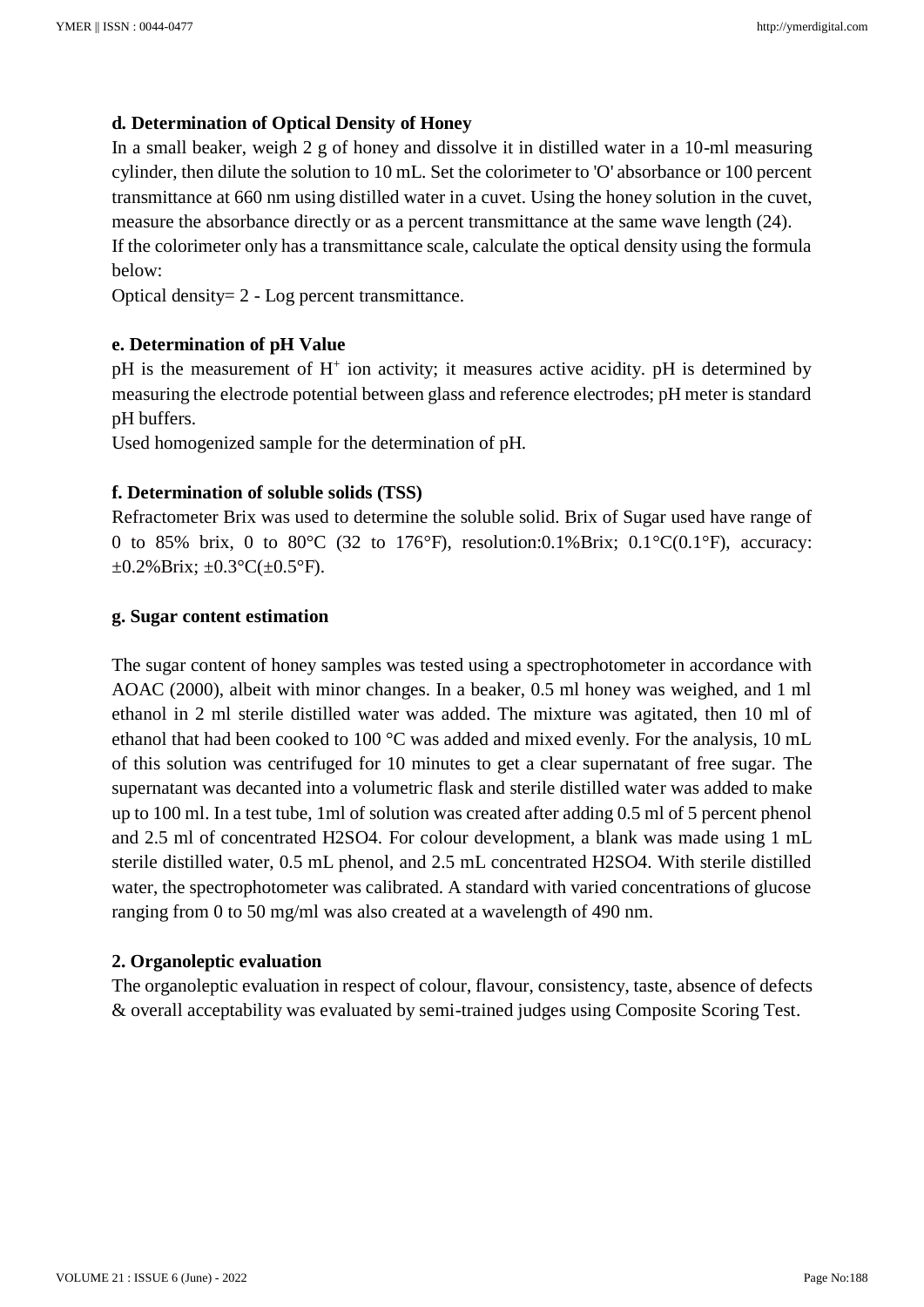#### **d. Determination of Optical Density of Honey**

In a small beaker, weigh 2 g of honey and dissolve it in distilled water in a 10-ml measuring cylinder, then dilute the solution to 10 mL. Set the colorimeter to 'O' absorbance or 100 percent transmittance at 660 nm using distilled water in a cuvet. Using the honey solution in the cuvet, measure the absorbance directly or as a percent transmittance at the same wave length (24). If the colorimeter only has a transmittance scale, calculate the optical density using the formula below:

Optical density= 2 - Log percent transmittance.

#### **e. Determination of pH Value**

 $pH$  is the measurement of  $H^+$  ion activity; it measures active acidity.  $pH$  is determined by measuring the electrode potential between glass and reference electrodes; pH meter is standard pH buffers.

Used homogenized sample for the determination of pH.

#### **f. Determination of soluble solids (TSS)**

Refractometer Brix was used to determine the soluble solid. Brix of Sugar used have range of 0 to 85% brix, 0 to 80 $^{\circ}$ C (32 to 176 $^{\circ}$ F), resolution:0.1%Brix; 0.1 $^{\circ}$ C(0.1 $^{\circ}$ F), accuracy:  $\pm 0.2\%$ Brix;  $\pm 0.3$ °C( $\pm 0.5$ °F).

#### **g. Sugar content estimation**

The sugar content of honey samples was tested using a spectrophotometer in accordance with AOAC (2000), albeit with minor changes. In a beaker, 0.5 ml honey was weighed, and 1 ml ethanol in 2 ml sterile distilled water was added. The mixture was agitated, then 10 ml of ethanol that had been cooked to 100 °C was added and mixed evenly. For the analysis, 10 mL of this solution was centrifuged for 10 minutes to get a clear supernatant of free sugar. The supernatant was decanted into a volumetric flask and sterile distilled water was added to make up to 100 ml. In a test tube, 1ml of solution was created after adding 0.5 ml of 5 percent phenol and 2.5 ml of concentrated H2SO4. For colour development, a blank was made using 1 mL sterile distilled water, 0.5 mL phenol, and 2.5 mL concentrated H2SO4. With sterile distilled water, the spectrophotometer was calibrated. A standard with varied concentrations of glucose ranging from 0 to 50 mg/ml was also created at a wavelength of 490 nm.

#### **2. Organoleptic evaluation**

The organoleptic evaluation in respect of colour, flavour, consistency, taste, absence of defects & overall acceptability was evaluated by semi-trained judges using Composite Scoring Test.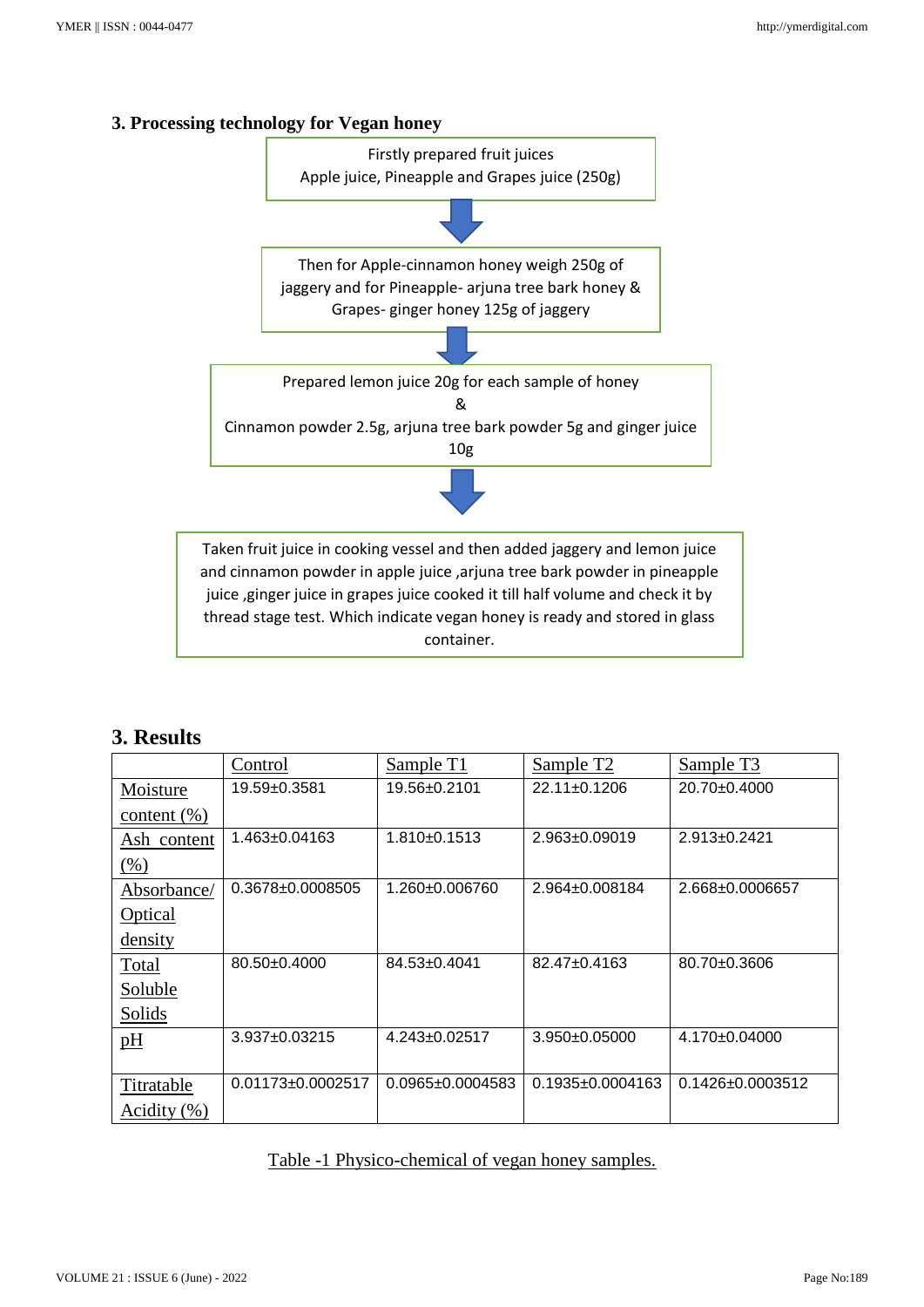#### **3. Processing technology for Vegan honey**



juice ,ginger juice in grapes juice cooked it till half volume and check it by thread stage test. Which indicate vegan honey is ready and stored in glass container.

#### **3. Results**

|                 | Control                | Sample T1              | Sample T <sub>2</sub>  | Sample T <sub>3</sub>  |
|-----------------|------------------------|------------------------|------------------------|------------------------|
| Moisture        | 19.59±0.3581           | 19.56±0.2101           | $22.11 \pm 0.1206$     | 20.70±0.4000           |
| content $(\%)$  |                        |                        |                        |                        |
| Ash content     | $1.463 + 0.04163$      | $1.810+0.1513$         | $2.963 \pm 0.09019$    | $2.913 \pm 0.2421$     |
| (% )            |                        |                        |                        |                        |
| Absorbance/     | $0.3678 \pm 0.0008505$ | 1.260±0.006760         | $2.964 \pm 0.008184$   | 2.668±0.0006657        |
| <b>Optical</b>  |                        |                        |                        |                        |
| density         |                        |                        |                        |                        |
| Total           | 80.50±0.4000           | 84.53±0.4041           | 82.47±0.4163           | 80.70±0.3606           |
| Soluble         |                        |                        |                        |                        |
| Solids          |                        |                        |                        |                        |
| pH              | $3.937+0.03215$        | $4.243 \pm 0.02517$    | $3.950+0.05000$        | $4.170 \pm 0.04000$    |
|                 |                        |                        |                        |                        |
| Titratable      | $0.01173 + 0.0002517$  | $0.0965 \pm 0.0004583$ | $0.1935 \pm 0.0004163$ | $0.1426 \pm 0.0003512$ |
| Acidity $(\% )$ |                        |                        |                        |                        |

Table -1 Physico-chemical of vegan honey samples.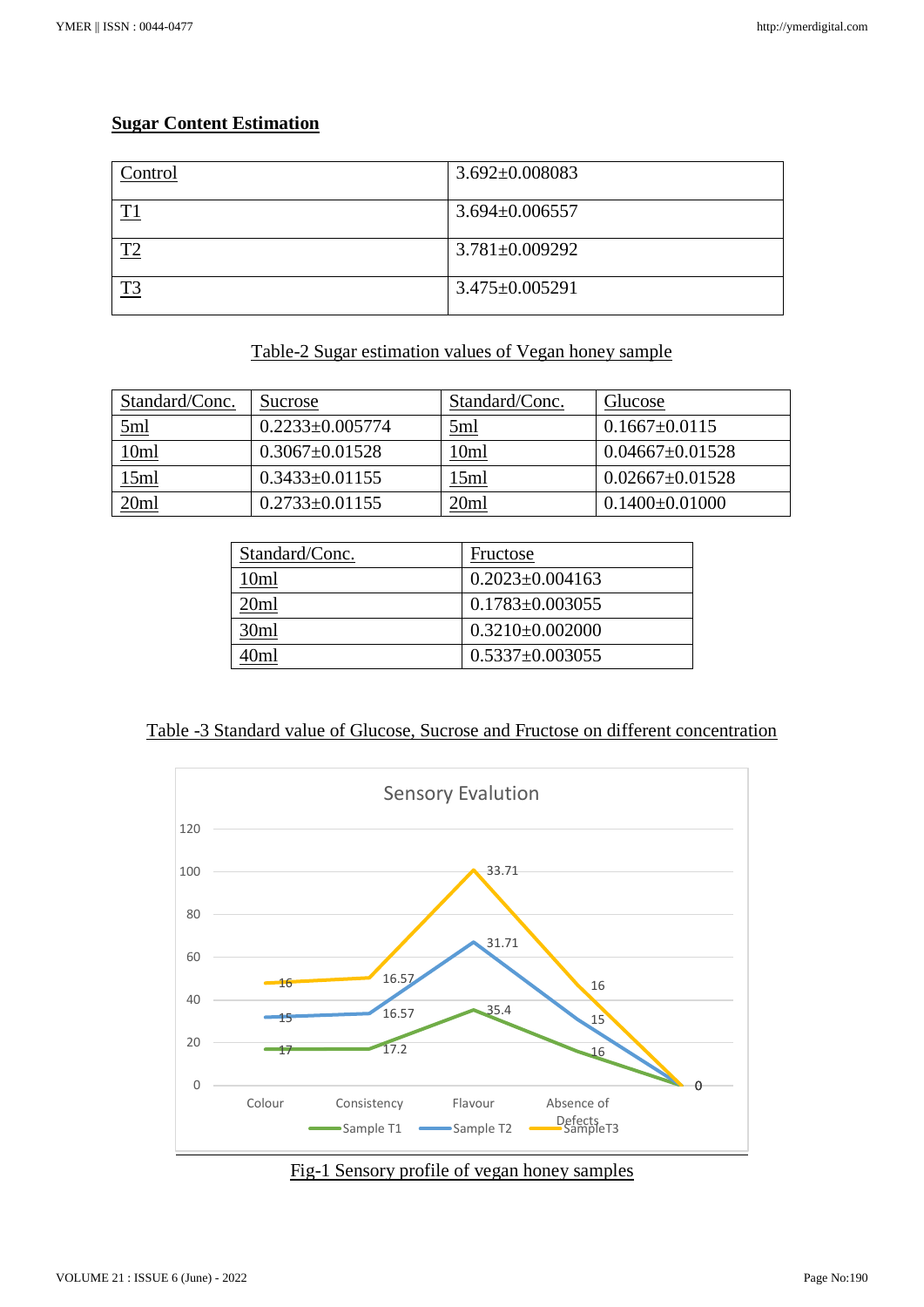## **Sugar Content Estimation**

| Control        | $3.692 \pm 0.008083$ |
|----------------|----------------------|
| T1             | $3.694 \pm 0.006557$ |
| T <sub>2</sub> | $3.781 \pm 0.009292$ |
| T3             | $3.475 \pm 0.005291$ |

# Table-2 Sugar estimation values of Vegan honey sample

| Standard/Conc. | Sucrose               | Standard/Conc. | Glucose               |
|----------------|-----------------------|----------------|-----------------------|
| <u>5ml</u>     | $0.2233 \pm 0.005774$ | <u>5ml</u>     | $0.1667 \pm 0.0115$   |
| 10ml           | $0.3067 \pm 0.01528$  | 10ml           | $0.04667 \pm 0.01528$ |
| 15ml           | $0.3433 \pm 0.01155$  | 15ml           | $0.02667 \pm 0.01528$ |
| 20ml           | $0.2733 \pm 0.01155$  | 20ml           | $0.1400\pm0.01000$    |

| Standard/Conc. | Fructose              |
|----------------|-----------------------|
| 10ml           | $0.2023 \pm 0.004163$ |
| 20ml           | $0.1783 \pm 0.003055$ |
| 30ml           | $0.3210\pm0.002000$   |
| ()ml           | $0.5337+0.003055$     |

Table -3 Standard value of Glucose, Sucrose and Fructose on different concentration



![](_page_5_Figure_9.jpeg)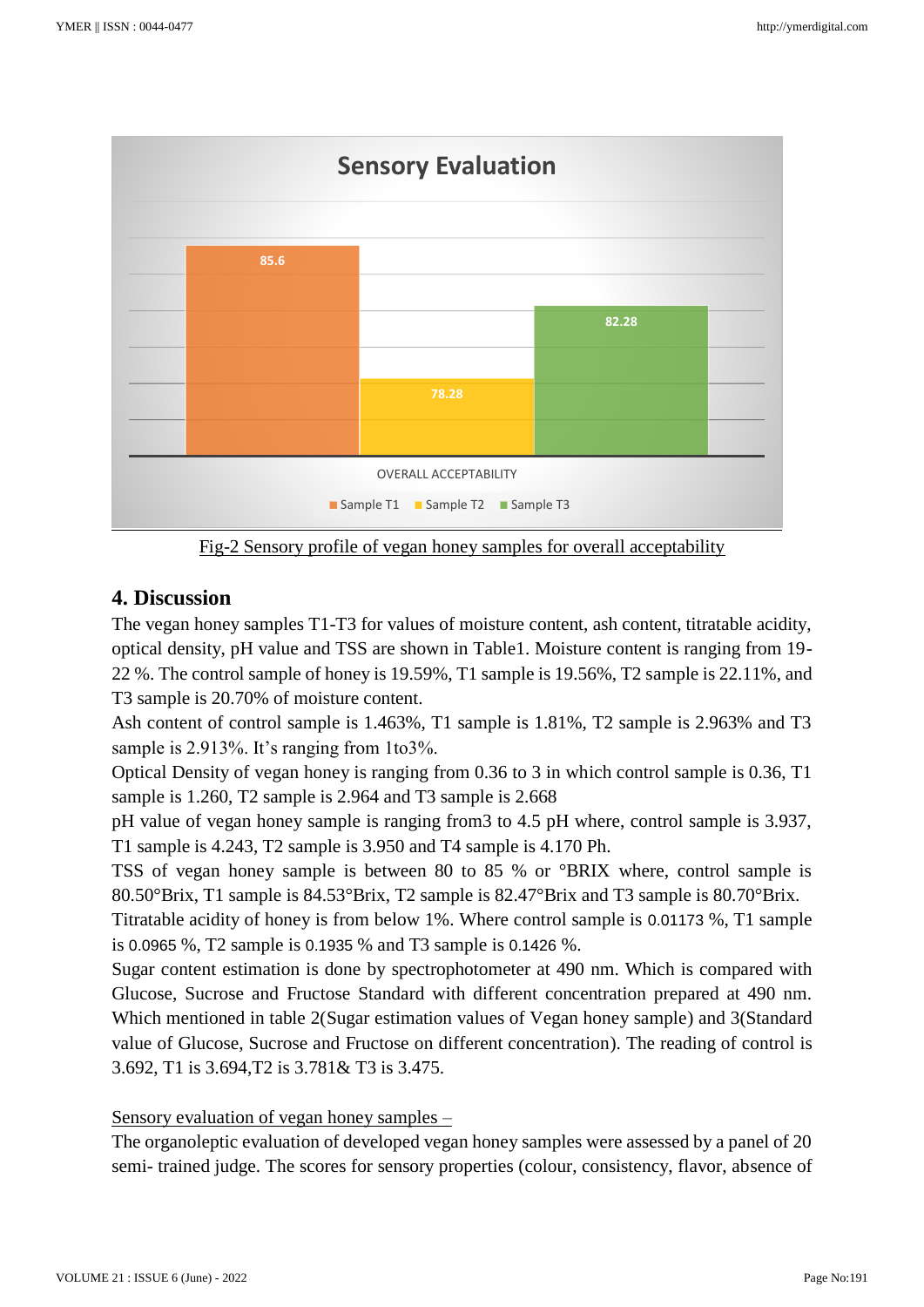![](_page_6_Figure_2.jpeg)

Fig-2 Sensory profile of vegan honey samples for overall acceptability

# **4. Discussion**

The vegan honey samples T1-T3 for values of moisture content, ash content, titratable acidity, optical density, pH value and TSS are shown in Table1. Moisture content is ranging from 19- 22 %. The control sample of honey is 19.59%, T1 sample is 19.56%, T2 sample is 22.11%, and T3 sample is 20.70% of moisture content.

Ash content of control sample is 1.463%, T1 sample is 1.81%, T2 sample is 2.963% and T3 sample is 2.913%. It's ranging from 1to3%.

Optical Density of vegan honey is ranging from 0.36 to 3 in which control sample is 0.36, T1 sample is 1.260, T2 sample is 2.964 and T3 sample is 2.668

pH value of vegan honey sample is ranging from3 to 4.5 pH where, control sample is 3.937, T1 sample is 4.243, T2 sample is 3.950 and T4 sample is 4.170 Ph.

TSS of vegan honey sample is between 80 to 85 % or °BRIX where, control sample is 80.50°Brix, T1 sample is 84.53°Brix, T2 sample is 82.47°Brix and T3 sample is 80.70°Brix.

Titratable acidity of honey is from below 1%. Where control sample is 0.01173 %, T1 sample is 0.0965 %, T2 sample is 0.1935 % and T3 sample is 0.1426 %.

Sugar content estimation is done by spectrophotometer at 490 nm. Which is compared with Glucose, Sucrose and Fructose Standard with different concentration prepared at 490 nm. Which mentioned in table 2(Sugar estimation values of Vegan honey sample) and 3(Standard value of Glucose, Sucrose and Fructose on different concentration). The reading of control is 3.692, T1 is 3.694,T2 is 3.781& T3 is 3.475.

#### Sensory evaluation of vegan honey samples –

The organoleptic evaluation of developed vegan honey samples were assessed by a panel of 20 semi- trained judge. The scores for sensory properties (colour, consistency, flavor, absence of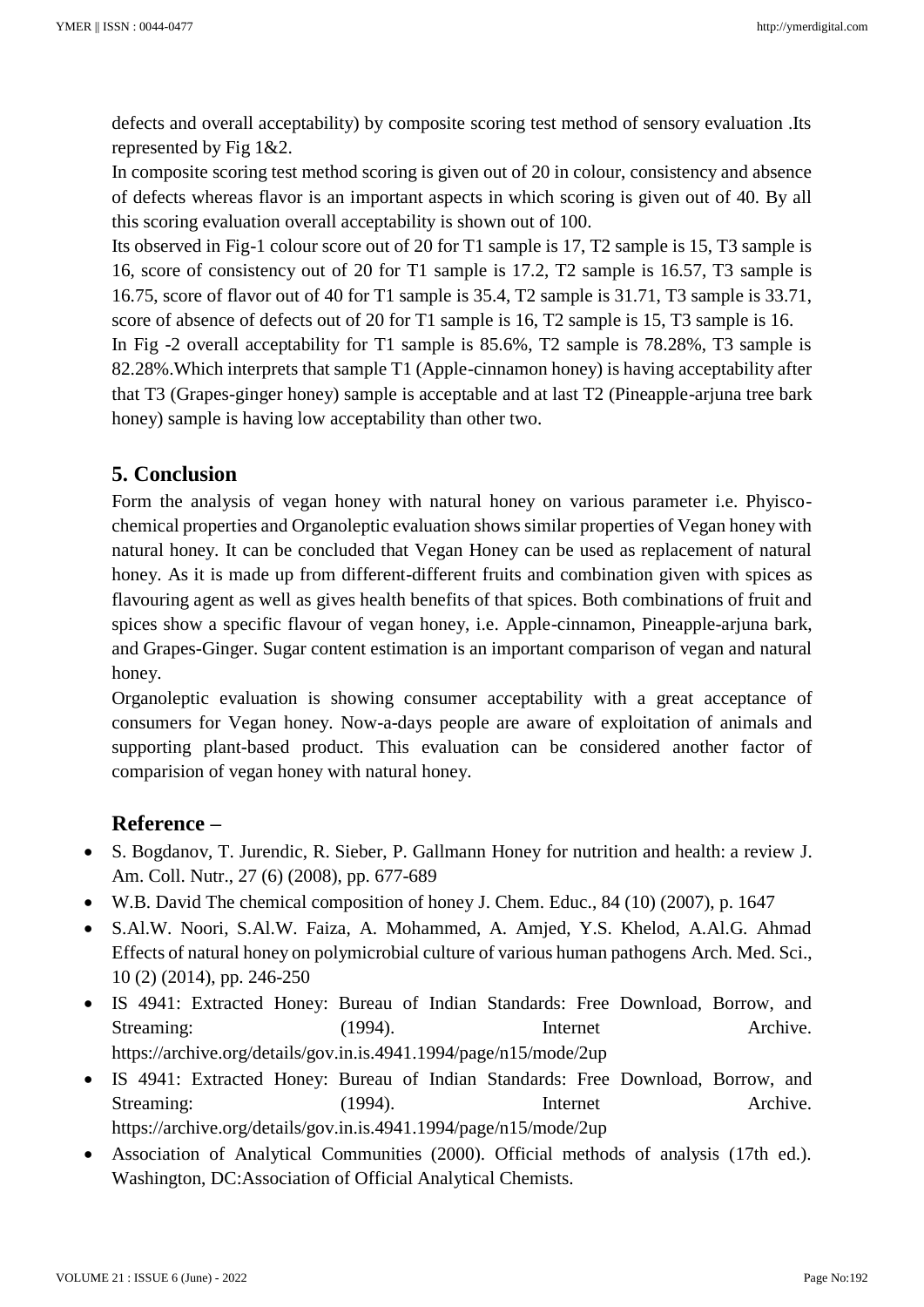defects and overall acceptability) by composite scoring test method of sensory evaluation .Its represented by Fig 1&2.

In composite scoring test method scoring is given out of 20 in colour, consistency and absence of defects whereas flavor is an important aspects in which scoring is given out of 40. By all this scoring evaluation overall acceptability is shown out of 100.

Its observed in Fig-1 colour score out of 20 for T1 sample is 17, T2 sample is 15, T3 sample is 16, score of consistency out of 20 for T1 sample is 17.2, T2 sample is 16.57, T3 sample is 16.75, score of flavor out of 40 for T1 sample is 35.4, T2 sample is 31.71, T3 sample is 33.71, score of absence of defects out of 20 for T1 sample is 16, T2 sample is 15, T3 sample is 16.

In Fig -2 overall acceptability for T1 sample is 85.6%, T2 sample is 78.28%, T3 sample is 82.28%.Which interprets that sample T1 (Apple-cinnamon honey) is having acceptability after that T3 (Grapes-ginger honey) sample is acceptable and at last T2 (Pineapple-arjuna tree bark honey) sample is having low acceptability than other two.

# **5. Conclusion**

Form the analysis of vegan honey with natural honey on various parameter i.e. Phyiscochemical properties and Organoleptic evaluation shows similar properties of Vegan honey with natural honey. It can be concluded that Vegan Honey can be used as replacement of natural honey. As it is made up from different-different fruits and combination given with spices as flavouring agent as well as gives health benefits of that spices. Both combinations of fruit and spices show a specific flavour of vegan honey, i.e. Apple-cinnamon, Pineapple-arjuna bark, and Grapes-Ginger. Sugar content estimation is an important comparison of vegan and natural honey.

Organoleptic evaluation is showing consumer acceptability with a great acceptance of consumers for Vegan honey. Now-a-days people are aware of exploitation of animals and supporting plant-based product. This evaluation can be considered another factor of comparision of vegan honey with natural honey.

# **Reference –**

- S. Bogdanov, T. Jurendic, R. Sieber, P. Gallmann Honey for nutrition and health: a review J. Am. Coll. Nutr., 27 (6) (2008), pp. 677-689
- W.B. David The chemical composition of honey J. Chem. Educ., 84 (10) (2007), p. 1647
- S.Al.W. Noori, S.Al.W. Faiza, A. Mohammed, A. Amjed, Y.S. Khelod, A.Al.G. Ahmad Effects of natural honey on polymicrobial culture of various human pathogens Arch. Med. Sci., 10 (2) (2014), pp. 246-250
- IS 4941: Extracted Honey: Bureau of Indian Standards: Free Download, Borrow, and Streaming: (1994). Internet Archive. https://archive.org/details/gov.in.is.4941.1994/page/n15/mode/2up
- IS 4941: Extracted Honey: Bureau of Indian Standards: Free Download, Borrow, and Streaming: (1994). Internet Archive. https://archive.org/details/gov.in.is.4941.1994/page/n15/mode/2up
- Association of Analytical Communities (2000). Official methods of analysis (17th ed.). Washington, DC:Association of Official Analytical Chemists.